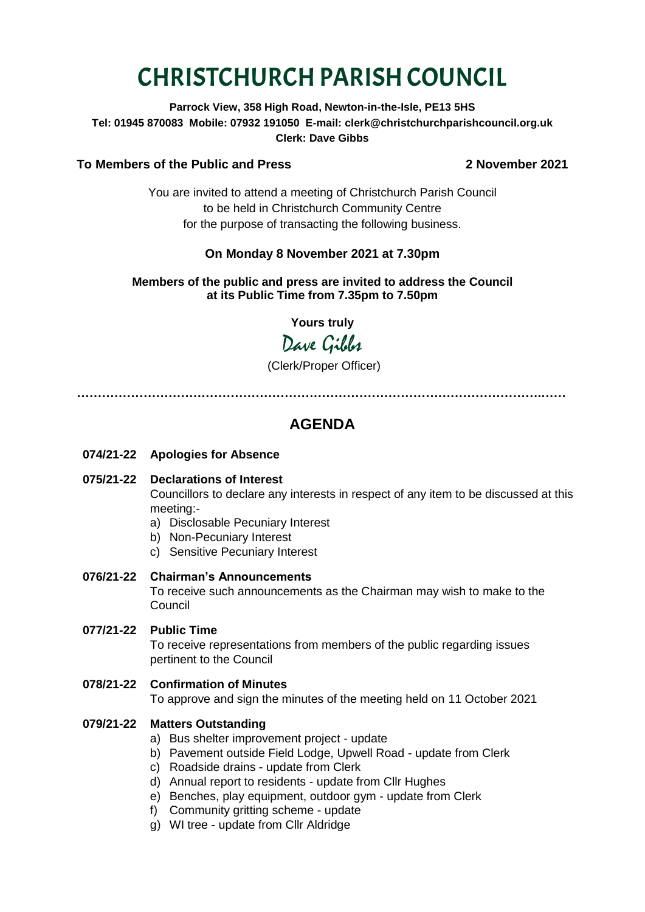# CHRISTCHURCH PARISH COUNCIL

**Parrock View, 358 High Road, Newton-in-the-Isle, PE13 5HS Tel: 01945 870083 Mobile: 07932 191050 E-mail: clerk@christchurchparishcouncil.org.uk Clerk: Dave Gibbs**

### **To Members of the Public and Press 2 November 2021**

You are invited to attend a meeting of Christchurch Parish Council to be held in Christchurch Community Centre for the purpose of transacting the following business.

# **On Monday 8 November 2021 at 7.30pm**

#### **Members of the public and press are invited to address the Council at its Public Time from 7.35pm to 7.50pm**

**Yours truly**

# Dave Gibbs

(Clerk/Proper Officer)

**………………………………………………………………………………………………….……**

# **AGENDA**

- **074/21-22 Apologies for Absence**
- **075/21-22 Declarations of Interest**

Councillors to declare any interests in respect of any item to be discussed at this meeting:-

- a) Disclosable Pecuniary Interest
- b) Non-Pecuniary Interest
- c) Sensitive Pecuniary Interest
- **076/21-22 Chairman's Announcements**

To receive such announcements as the Chairman may wish to make to the Council

**077/21-22 Public Time**

To receive representations from members of the public regarding issues pertinent to the Council

**078/21-22 Confirmation of Minutes** 

To approve and sign the minutes of the meeting held on 11 October 2021

## **079/21-22 Matters Outstanding**

- a) Bus shelter improvement project update
- b) Pavement outside Field Lodge, Upwell Road update from Clerk
- c) Roadside drains update from Clerk
- d) Annual report to residents update from Cllr Hughes
- e) Benches, play equipment, outdoor gym update from Clerk
- f) Community gritting scheme update
- g) WI tree update from Cllr Aldridge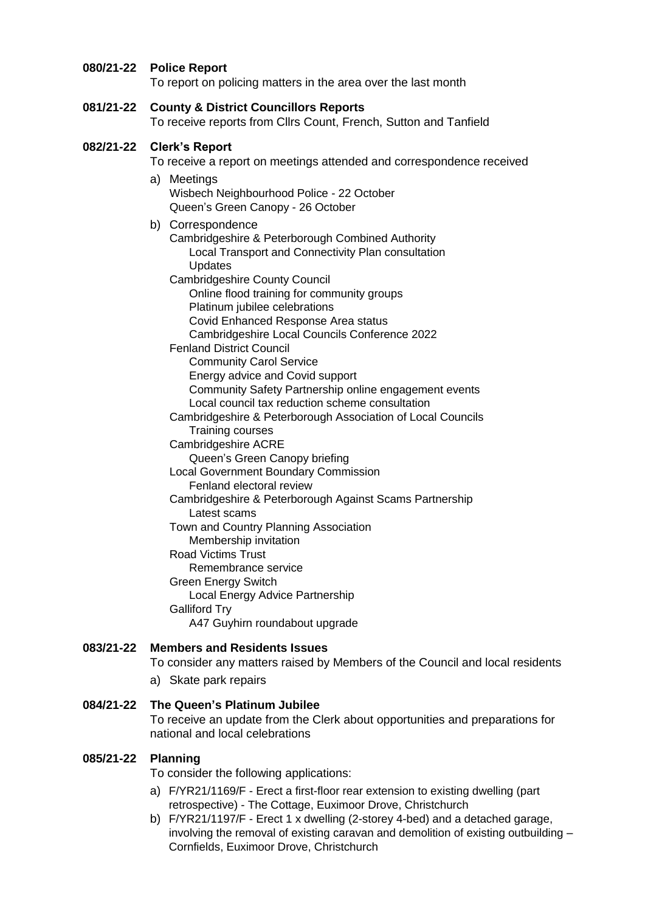#### **080/21-22 Police Report**

To report on policing matters in the area over the last month

#### **081/21-22 County & District Councillors Reports**

To receive reports from Cllrs Count, French, Sutton and Tanfield

#### **082/21-22 Clerk's Report**

To receive a report on meetings attended and correspondence received

- a) Meetings Wisbech Neighbourhood Police - 22 October Queen's Green Canopy - 26 October
- b) Correspondence
	- Cambridgeshire & Peterborough Combined Authority Local Transport and Connectivity Plan consultation Updates
	- Cambridgeshire County Council
		- Online flood training for community groups Platinum jubilee celebrations
			- Covid Enhanced Response Area status
		- Cambridgeshire Local Councils Conference 2022
	- Fenland District Council

Community Carol Service Energy advice and Covid support Community Safety Partnership online engagement events Local council tax reduction scheme consultation

- Cambridgeshire & Peterborough Association of Local Councils Training courses
- Cambridgeshire ACRE
	- Queen's Green Canopy briefing

Local Government Boundary Commission

- Fenland electoral review
- Cambridgeshire & Peterborough Against Scams Partnership Latest scams
- Town and Country Planning Association Membership invitation
- Road Victims Trust

Remembrance service Green Energy Switch Local Energy Advice Partnership Galliford Try

A47 Guyhirn roundabout upgrade

#### **083/21-22 Members and Residents Issues**

To consider any matters raised by Members of the Council and local residents

a) Skate park repairs

#### **084/21-22 The Queen's Platinum Jubilee**

To receive an update from the Clerk about opportunities and preparations for national and local celebrations

#### **085/21-22 Planning**

To consider the following applications:

- a) F/YR21/1169/F Erect a first-floor rear extension to existing dwelling (part retrospective) - The Cottage, Euximoor Drove, Christchurch
- b) F/YR21/1197/F Erect 1 x dwelling (2-storey 4-bed) and a detached garage, involving the removal of existing caravan and demolition of existing outbuilding – Cornfields, Euximoor Drove, Christchurch